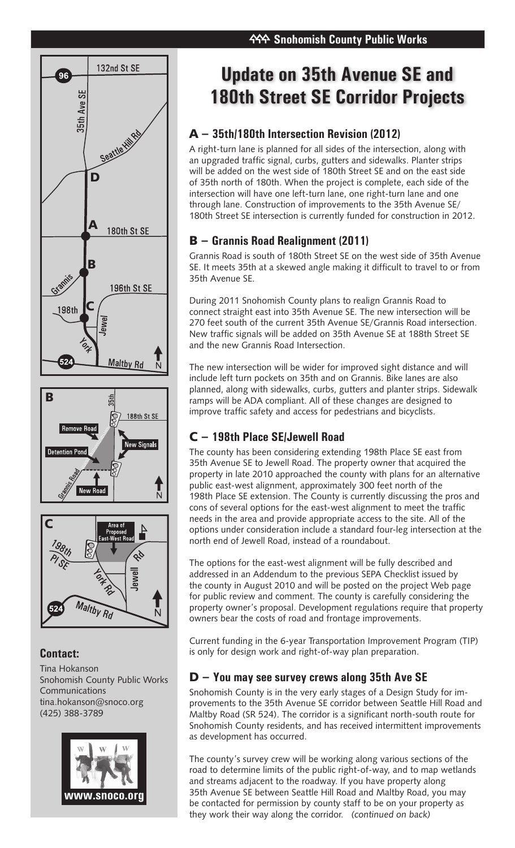





## **Contact:**

Tina Hokanson Snohomish County Public Works Communications tina.hokanson@snoco.org (425) 388-3789



# **Update on 35th Avenue SE and 180th Street SE Corridor Projects**

# A – **35th/180th Intersection Revision (2012)**

A right-turn lane is planned for all sides of the intersection, along with an upgraded traffic signal, curbs, gutters and sidewalks. Planter strips will be added on the west side of 180th Street SE and on the east side of 35th north of 180th. When the project is complete, each side of the intersection will have one left-turn lane, one right-turn lane and one through lane. Construction of improvements to the 35th Avenue SE/ 180th Street SE intersection is currently funded for construction in 2012.

## B – **Grannis Road Realignment (2011)**

Grannis Road is south of 180th Street SE on the west side of 35th Avenue SE. It meets 35th at a skewed angle making it difficult to travel to or from 35th Avenue SE.

During 2011 Snohomish County plans to realign Grannis Road to connect straight east into 35th Avenue SE. The new intersection will be 270 feet south of the current 35th Avenue SE/Grannis Road intersection. New traffic signals will be added on 35th Avenue SE at 188th Street SE and the new Grannis Road Intersection.

The new intersection will be wider for improved sight distance and will include left turn pockets on 35th and on Grannis. Bike lanes are also planned, along with sidewalks, curbs, gutters and planter strips. Sidewalk ramps will be ADA compliant. All of these changes are designed to improve traffic safety and access for pedestrians and bicyclists.

## C – **198th Place SE/Jewell Road**

The county has been considering extending 198th Place SE east from 35th Avenue SE to Jewell Road. The property owner that acquired the property in late 2010 approached the county with plans for an alternative public east-west alignment, approximately 300 feet north of the 198th Place SE extension. The County is currently discussing the pros and cons of several options for the east-west alignment to meet the traffic needs in the area and provide appropriate access to the site. All of the options under consideration include a standard four-leg intersection at the north end of Jewell Road, instead of a roundabout.

The options for the east-west alignment will be fully described and addressed in an Addendum to the previous SEPA Checklist issued by the county in August 2010 and will be posted on the project Web page for public review and comment. The county is carefully considering the property owner's proposal. Development regulations require that property owners bear the costs of road and frontage improvements.

Current funding in the 6-year Transportation Improvement Program (TIP) is only for design work and right-of-way plan preparation.

## D – **You may see survey crews along 35th Ave SE**

Snohomish County is in the very early stages of a Design Study for improvements to the 35th Avenue SE corridor between Seattle Hill Road and Maltby Road (SR 524). The corridor is a significant north-south route for Snohomish County residents, and has received intermittent improvements as development has occurred.

The county's survey crew will be working along various sections of the road to determine limits of the public right-of-way, and to map wetlands and streams adjacent to the roadway. If you have property along 35th Avenue SE between Seattle Hill Road and Maltby Road, you may be contacted for permission by county staff to be on your property as they work their way along the corridor. (continued on back)